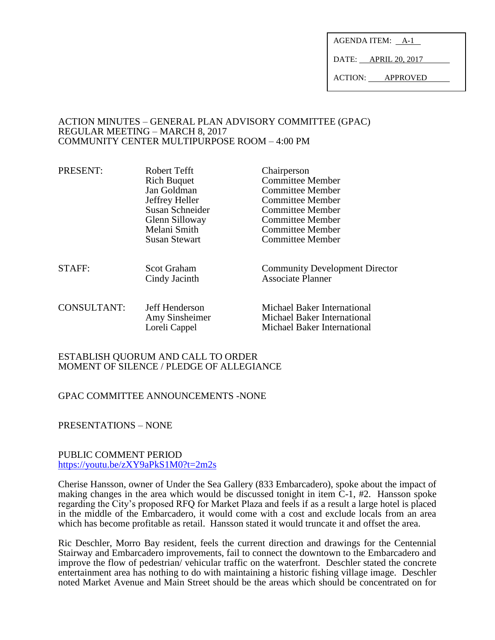AGENDA ITEM: A-1

DATE: APRIL 20, 2017

ACTION: APPROVED

#### ACTION MINUTES – GENERAL PLAN ADVISORY COMMITTEE (GPAC) REGULAR MEETING – MARCH 8, 2017 COMMUNITY CENTER MULTIPURPOSE ROOM – 4:00 PM

| PRESENT:    | Robert Tefft<br><b>Rich Buquet</b><br>Jan Goldman<br>Jeffrey Heller<br>Susan Schneider<br>Glenn Silloway<br>Melani Smith<br><b>Susan Stewart</b> | Chairperson<br><b>Committee Member</b><br>Committee Member<br>Committee Member<br>Committee Member<br>Committee Member<br>Committee Member<br>Committee Member |
|-------------|--------------------------------------------------------------------------------------------------------------------------------------------------|----------------------------------------------------------------------------------------------------------------------------------------------------------------|
| STAFF:      | <b>Scot Graham</b><br>Cindy Jacinth                                                                                                              | <b>Community Development Director</b><br><b>Associate Planner</b>                                                                                              |
| CONSULTANT: | Jeff Henderson<br>Amy Sinsheimer<br>Loreli Cappel                                                                                                | <b>Michael Baker International</b><br>Michael Baker International<br>Michael Baker International                                                               |

#### ESTABLISH QUORUM AND CALL TO ORDER MOMENT OF SILENCE / PLEDGE OF ALLEGIANCE

# GPAC COMMITTEE ANNOUNCEMENTS -NONE

PRESENTATIONS – NONE

#### PUBLIC COMMENT PERIOD <https://youtu.be/zXY9aPkS1M0?t=2m2s>

Cherise Hansson, owner of Under the Sea Gallery (833 Embarcadero), spoke about the impact of making changes in the area which would be discussed tonight in item C-1, #2. Hansson spoke regarding the City's proposed RFQ for Market Plaza and feels if as a result a large hotel is placed in the middle of the Embarcadero, it would come with a cost and exclude locals from an area which has become profitable as retail. Hansson stated it would truncate it and offset the area.

Ric Deschler, Morro Bay resident, feels the current direction and drawings for the Centennial Stairway and Embarcadero improvements, fail to connect the downtown to the Embarcadero and improve the flow of pedestrian/ vehicular traffic on the waterfront. Deschler stated the concrete entertainment area has nothing to do with maintaining a historic fishing village image. Deschler noted Market Avenue and Main Street should be the areas which should be concentrated on for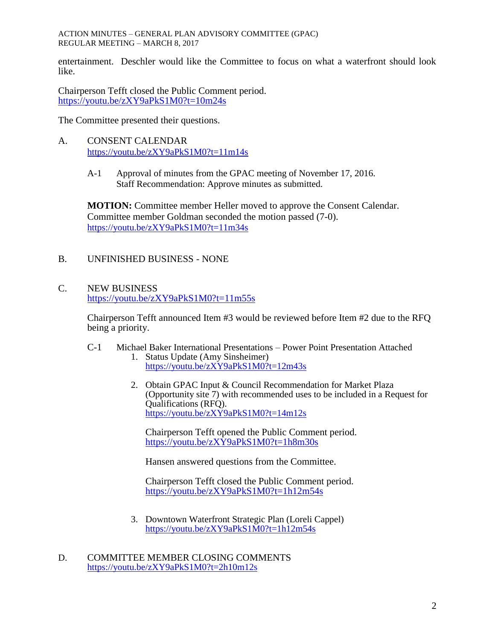ACTION MINUTES – GENERAL PLAN ADVISORY COMMITTEE (GPAC) REGULAR MEETING – MARCH 8, 2017

entertainment. Deschler would like the Committee to focus on what a waterfront should look like.

Chairperson Tefft closed the Public Comment period. <https://youtu.be/zXY9aPkS1M0?t=10m24s>

The Committee presented their questions.

- A. CONSENT CALENDAR <https://youtu.be/zXY9aPkS1M0?t=11m14s>
	- A-1 Approval of minutes from the GPAC meeting of November 17, 2016. Staff Recommendation: Approve minutes as submitted.

**MOTION:** Committee member Heller moved to approve the Consent Calendar. Committee member Goldman seconded the motion passed (7-0). <https://youtu.be/zXY9aPkS1M0?t=11m34s>

B. UNFINISHED BUSINESS - NONE

### C. NEW BUSINESS <https://youtu.be/zXY9aPkS1M0?t=11m55s>

Chairperson Tefft announced Item #3 would be reviewed before Item #2 due to the RFQ being a priority.

C-1 Michael Baker International Presentations – Power Point Presentation Attached 1. Status Update (Amy Sinsheimer)

<https://youtu.be/zXY9aPkS1M0?t=12m43s>

2. Obtain GPAC Input & Council Recommendation for Market Plaza (Opportunity site 7) with recommended uses to be included in a Request for Qualifications (RFQ). <https://youtu.be/zXY9aPkS1M0?t=14m12s>

Chairperson Tefft opened the Public Comment period. <https://youtu.be/zXY9aPkS1M0?t=1h8m30s>

Hansen answered questions from the Committee.

Chairperson Tefft closed the Public Comment period. <https://youtu.be/zXY9aPkS1M0?t=1h12m54s>

- 3. Downtown Waterfront Strategic Plan (Loreli Cappel) <https://youtu.be/zXY9aPkS1M0?t=1h12m54s>
- D. COMMITTEE MEMBER CLOSING COMMENTS <https://youtu.be/zXY9aPkS1M0?t=2h10m12s>